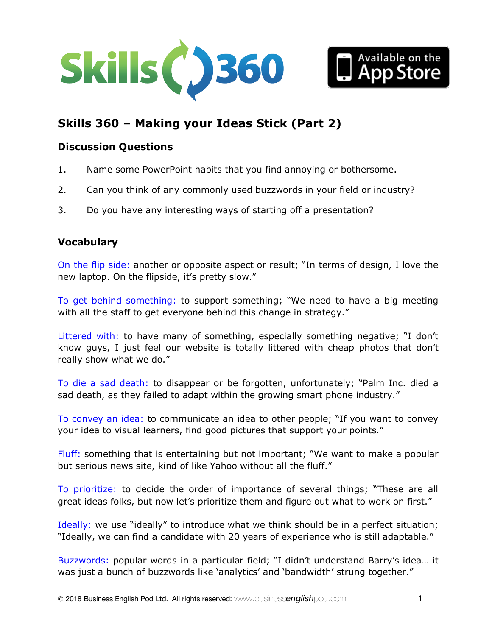



# **Skills 360 – Making your Ideas Stick (Part 2)**

#### **Discussion Questions**

- 1. Name some PowerPoint habits that you find annoying or bothersome.
- 2. Can you think of any commonly used buzzwords in your field or industry?
- 3. Do you have any interesting ways of starting off a presentation?

### **Vocabulary**

On the flip side: another or opposite aspect or result; "In terms of design, I love the new laptop. On the flipside, it's pretty slow."

To get behind something: to support something; "We need to have a big meeting with all the staff to get everyone behind this change in strategy."

Littered with: to have many of something, especially something negative; "I don't know guys, I just feel our website is totally littered with cheap photos that don't really show what we do."

To die a sad death: to disappear or be forgotten, unfortunately; "Palm Inc. died a sad death, as they failed to adapt within the growing smart phone industry."

To convey an idea: to communicate an idea to other people; "If you want to convey your idea to visual learners, find good pictures that support your points."

Fluff: something that is entertaining but not important; "We want to make a popular but serious news site, kind of like Yahoo without all the fluff."

To prioritize: to decide the order of importance of several things; "These are all great ideas folks, but now let's prioritize them and figure out what to work on first."

Ideally: we use "ideally" to introduce what we think should be in a perfect situation; "Ideally, we can find a candidate with 20 years of experience who is still adaptable."

Buzzwords: popular words in a particular field; "I didn't understand Barry's idea… it was just a bunch of buzzwords like 'analytics' and 'bandwidth' strung together."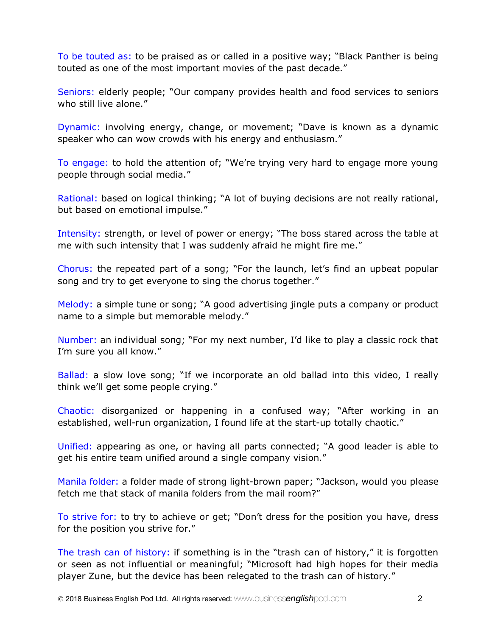To be touted as: to be praised as or called in a positive way; "Black Panther is being touted as one of the most important movies of the past decade."

Seniors: elderly people; "Our company provides health and food services to seniors who still live alone."

Dynamic: involving energy, change, or movement; "Dave is known as a dynamic speaker who can wow crowds with his energy and enthusiasm."

To engage: to hold the attention of; "We're trying very hard to engage more young people through social media."

Rational: based on logical thinking; "A lot of buying decisions are not really rational, but based on emotional impulse."

Intensity: strength, or level of power or energy; "The boss stared across the table at me with such intensity that I was suddenly afraid he might fire me."

Chorus: the repeated part of a song; "For the launch, let's find an upbeat popular song and try to get everyone to sing the chorus together."

Melody: a simple tune or song; "A good advertising jingle puts a company or product name to a simple but memorable melody."

Number: an individual song; "For my next number, I'd like to play a classic rock that I'm sure you all know."

Ballad: a slow love song; "If we incorporate an old ballad into this video, I really think we'll get some people crying."

Chaotic: disorganized or happening in a confused way; "After working in an established, well-run organization, I found life at the start-up totally chaotic."

Unified: appearing as one, or having all parts connected; "A good leader is able to get his entire team unified around a single company vision."

Manila folder: a folder made of strong light-brown paper; "Jackson, would you please fetch me that stack of manila folders from the mail room?"

To strive for: to try to achieve or get; "Don't dress for the position you have, dress for the position you strive for."

The trash can of history: if something is in the "trash can of history," it is forgotten or seen as not influential or meaningful; "Microsoft had high hopes for their media player Zune, but the device has been relegated to the trash can of history."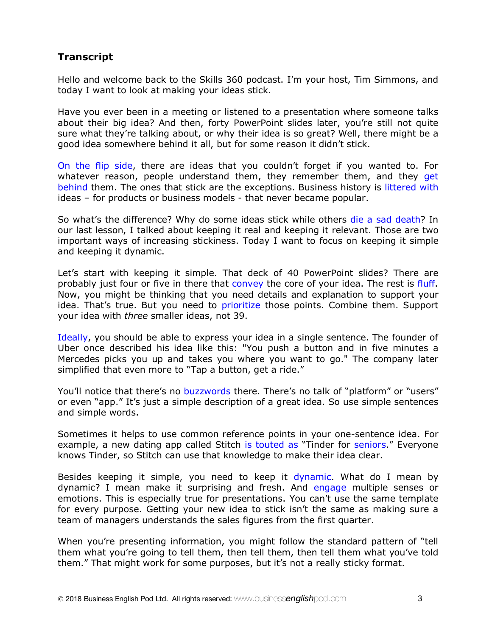## **Transcript**

Hello and welcome back to the Skills 360 podcast. I'm your host, Tim Simmons, and today I want to look at making your ideas stick.

Have you ever been in a meeting or listened to a presentation where someone talks about their big idea? And then, forty PowerPoint slides later, you're still not quite sure what they're talking about, or why their idea is so great? Well, there might be a good idea somewhere behind it all, but for some reason it didn't stick.

On the flip side, there are ideas that you couldn't forget if you wanted to. For whatever reason, people understand them, they remember them, and they get behind them. The ones that stick are the exceptions. Business history is littered with ideas – for products or business models - that never became popular.

So what's the difference? Why do some ideas stick while others die a sad death? In our last lesson, I talked about keeping it real and keeping it relevant. Those are two important ways of increasing stickiness. Today I want to focus on keeping it simple and keeping it dynamic.

Let's start with keeping it simple. That deck of 40 PowerPoint slides? There are probably just four or five in there that convey the core of your idea. The rest is fluff. Now, you might be thinking that you need details and explanation to support your idea. That's true. But you need to prioritize those points. Combine them. Support your idea with *three* smaller ideas, not 39.

Ideally, you should be able to express your idea in a single sentence. The founder of Uber once described his idea like this: "You push a button and in five minutes a Mercedes picks you up and takes you where you want to go." The company later simplified that even more to "Tap a button, get a ride."

You'll notice that there's no buzzwords there. There's no talk of "platform" or "users" or even "app." It's just a simple description of a great idea. So use simple sentences and simple words.

Sometimes it helps to use common reference points in your one-sentence idea. For example, a new dating app called Stitch is touted as "Tinder for seniors." Everyone knows Tinder, so Stitch can use that knowledge to make their idea clear.

Besides keeping it simple, you need to keep it dynamic. What do I mean by dynamic? I mean make it surprising and fresh. And engage multiple senses or emotions. This is especially true for presentations. You can't use the same template for every purpose. Getting your new idea to stick isn't the same as making sure a team of managers understands the sales figures from the first quarter.

When you're presenting information, you might follow the standard pattern of "tell them what you're going to tell them, then tell them, then tell them what you've told them." That might work for some purposes, but it's not a really sticky format.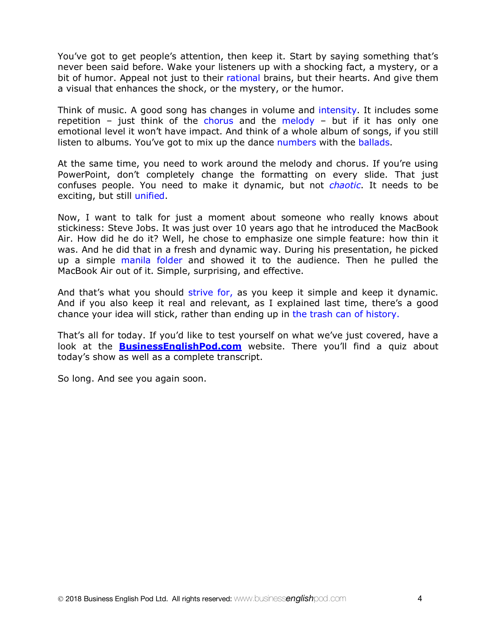You've got to get people's attention, then keep it. Start by saying something that's never been said before. Wake your listeners up with a shocking fact, a mystery, or a bit of humor. Appeal not just to their rational brains, but their hearts. And give them a visual that enhances the shock, or the mystery, or the humor.

Think of music. A good song has changes in volume and intensity. It includes some repetition – just think of the chorus and the melody – but if it has only one emotional level it won't have impact. And think of a whole album of songs, if you still listen to albums. You've got to mix up the dance numbers with the ballads.

At the same time, you need to work around the melody and chorus. If you're using PowerPoint, don't completely change the formatting on every slide. That just confuses people. You need to make it dynamic, but not *chaotic*. It needs to be exciting, but still unified.

Now, I want to talk for just a moment about someone who really knows about stickiness: Steve Jobs. It was just over 10 years ago that he introduced the MacBook Air. How did he do it? Well, he chose to emphasize one simple feature: how thin it was. And he did that in a fresh and dynamic way. During his presentation, he picked up a simple manila folder and showed it to the audience. Then he pulled the MacBook Air out of it. Simple, surprising, and effective.

And that's what you should strive for, as you keep it simple and keep it dynamic. And if you also keep it real and relevant, as I explained last time, there's a good chance your idea will stick, rather than ending up in the trash can of history.

That's all for today. If you'd like to test yourself on what we've just covered, have a look at the **BusinessEnglishPod.com** website. There you'll find a quiz about today's show as well as a complete transcript.

So long. And see you again soon.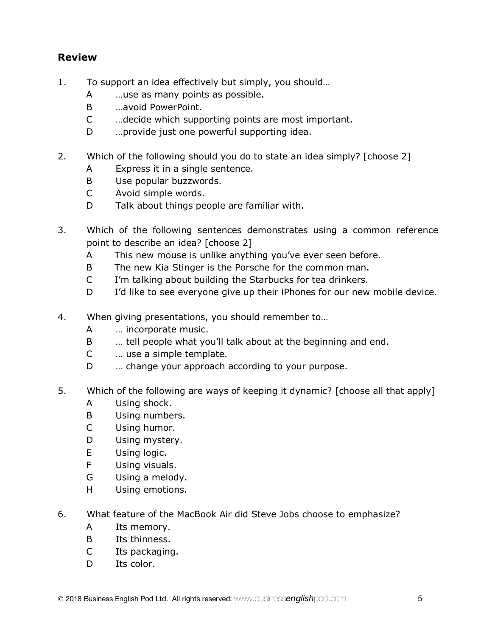## **Review**

- 1. To support an idea effectively but simply, you should…
	- A …use as many points as possible.
	- B …avoid PowerPoint.
	- C …decide which supporting points are most important.
	- D …provide just one powerful supporting idea.
- 2. Which of the following should you do to state an idea simply? [choose 2]
	- A Express it in a single sentence.
	- B Use popular buzzwords.
	- C Avoid simple words.
	- D Talk about things people are familiar with.
- 3. Which of the following sentences demonstrates using a common reference point to describe an idea? [choose 2]
	- A This new mouse is unlike anything you've ever seen before.
	- B The new Kia Stinger is the Porsche for the common man.
	- C I'm talking about building the Starbucks for tea drinkers.
	- D I'd like to see everyone give up their iPhones for our new mobile device.
- 4. When giving presentations, you should remember to…
	- A … incorporate music.
	- B … tell people what you'll talk about at the beginning and end.
	- C … use a simple template.
	- D ... change your approach according to your purpose.
- 5. Which of the following are ways of keeping it dynamic? [choose all that apply]
	- A Using shock.
	- B Using numbers.
	- C Using humor.
	- D Using mystery.
	- E Using logic.
	- F Using visuals.
	- G Using a melody.
	- H Using emotions.
- 6. What feature of the MacBook Air did Steve Jobs choose to emphasize?
	- A Its memory.
	- B Its thinness.
	- C Its packaging.
	- D Its color.